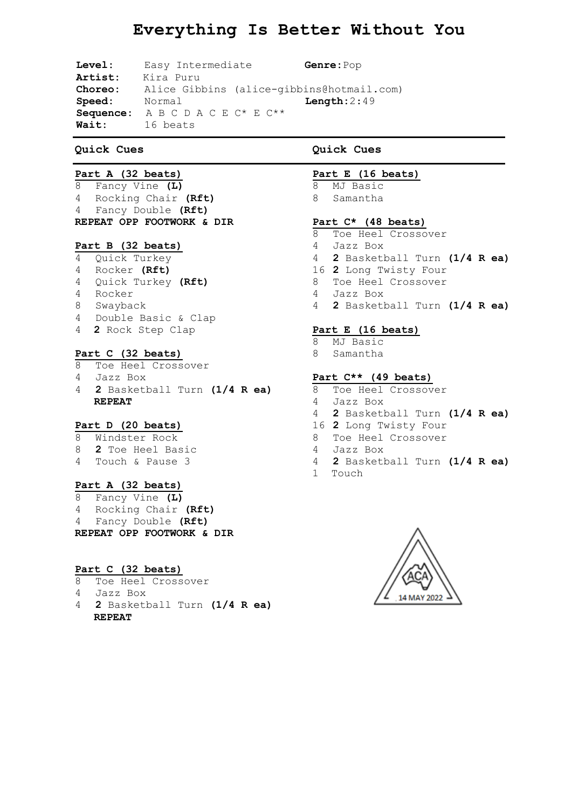# **Everything Is Better Without You**

**Level:** Easy Intermediate **Genre:**Pop **Artist:** Kira Puru **Choreo:** Alice Gibbins (alice-gibbins@hotmail.com) **Speed:** Normal **Length:**2:49 **Sequence:** A B C D A C E C\* E C\*\* **Wait:** 16 beats

## **Quick Cues**

# **Part A (32 beats)**

 Fancy Vine **(L)** Rocking Chair **(Rft)** Fancy Double **(Rft) REPEAT OPP FOOTWORK & DIR**

## **Part B (32 beats)**

- Quick Turkey
- Rocker **(Rft)**
- Quick Turkey **(Rft)**
- Rocker
- Swayback
- Double Basic & Clap
- **2** Rock Step Clap

## **Part C (32 beats)**

- Toe Heel Crossover
- Jazz Box
- **2** Basketball Turn **(1/4 R ea) REPEAT**

## **Part D (20 beats)**

- Windster Rock
- **2** Toe Heel Basic
- Touch & Pause 3

## **Part A (32 beats)**

 Fancy Vine **(L)** Rocking Chair **(Rft)** Fancy Double **(Rft) REPEAT OPP FOOTWORK & DIR**

## **Part C (32 beats)**

- Toe Heel Crossover
- Jazz Box
- **2** Basketball Turn **(1/4 R ea) REPEAT**

# **Quick Cues**

# **Part E (16 beats)**

- MJ Basic
- Samantha

## **Part C\* (48 beats)**

- Toe Heel Crossover
- Jazz Box
- **2** Basketball Turn **(1/4 R ea)**
- **2** Long Twisty Four
- Toe Heel Crossover
- Jazz Box
- **2** Basketball Turn **(1/4 R ea)**

#### **Part E (16 beats)**

- MJ Basic
- Samantha

## **Part C\*\* (49 beats)**

- Toe Heel Crossover
- Jazz Box
- **2** Basketball Turn **(1/4 R ea)**
- **2** Long Twisty Four
- Toe Heel Crossover
- Jazz Box
- **2** Basketball Turn **(1/4 R ea)**
- Touch